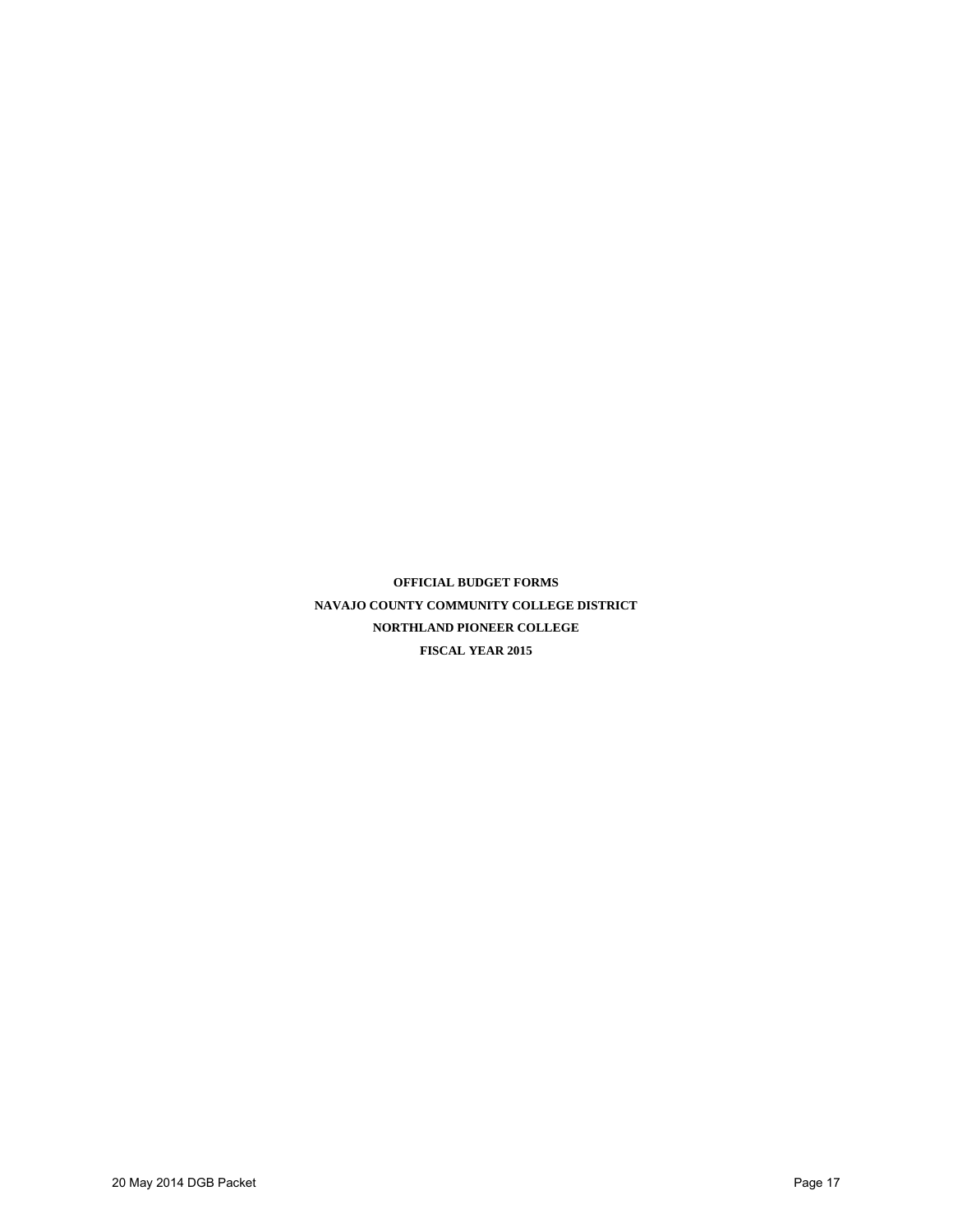**OFFICIAL BUDGET FORMS NAVAJO COUNTY COMMUNITY COLLEGE DISTRICT NORTHLAND PIONEER COLLEGE FISCAL YEAR 2015**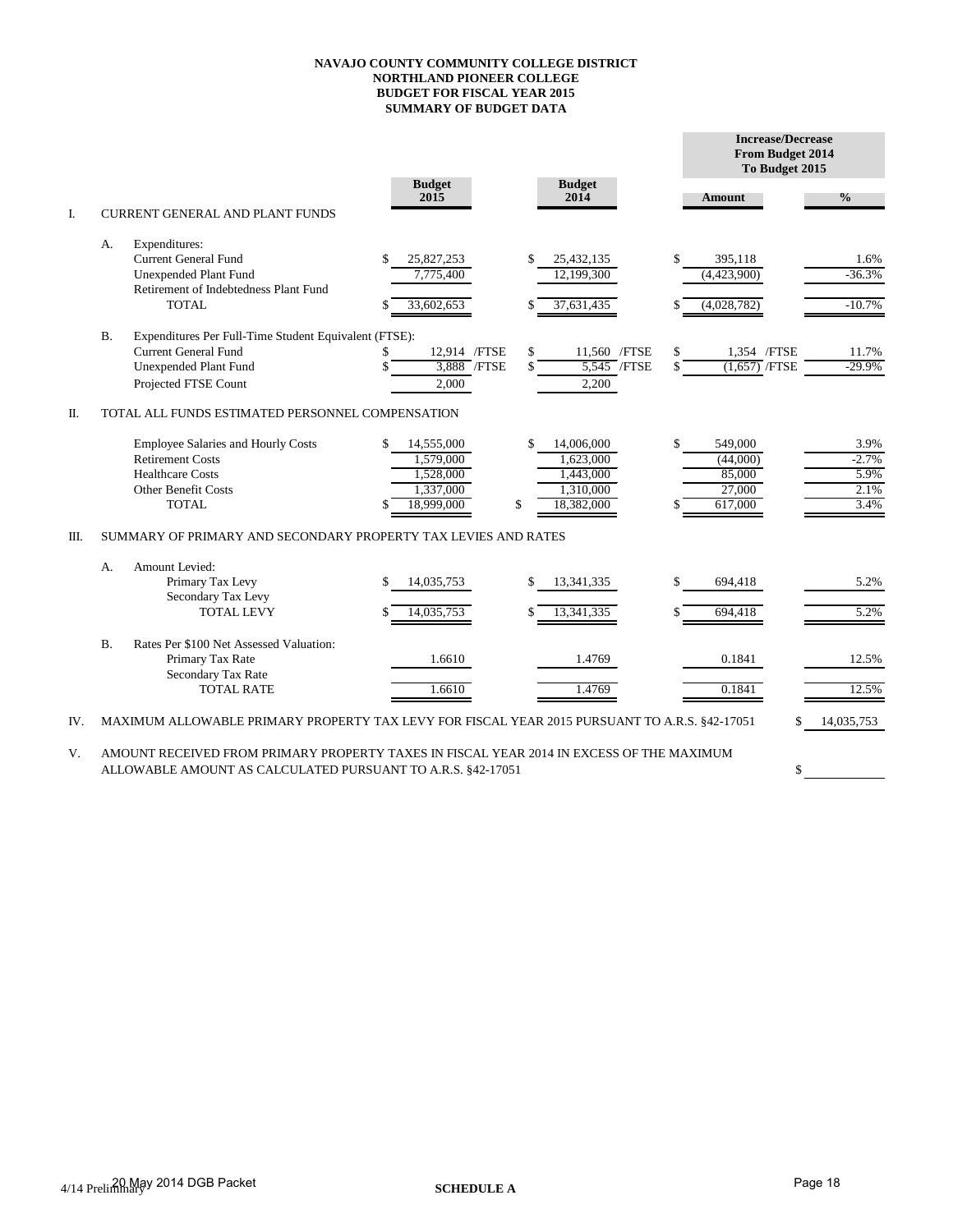## **NAVAJO COUNTY COMMUNITY COLLEGE DISTRICT NORTHLAND PIONEER COLLEGE BUDGET FOR FISCAL YEAR 2015 SUMMARY OF BUDGET DATA**

|      |                |                                                                                                                                               |                                                                       |                                                                             |                           | <b>Increase/Decrease</b><br>From Budget 2014<br>To Budget 2015 |                                         |
|------|----------------|-----------------------------------------------------------------------------------------------------------------------------------------------|-----------------------------------------------------------------------|-----------------------------------------------------------------------------|---------------------------|----------------------------------------------------------------|-----------------------------------------|
|      |                |                                                                                                                                               | <b>Budget</b><br>2015                                                 | <b>Budget</b><br>2014                                                       |                           | Amount                                                         | $\frac{6}{6}$                           |
| I.   |                | <b>CURRENT GENERAL AND PLANT FUNDS</b>                                                                                                        |                                                                       |                                                                             |                           |                                                                |                                         |
|      | А.             | Expenditures:<br><b>Current General Fund</b><br>Unexpended Plant Fund<br>Retirement of Indebtedness Plant Fund                                | 25,827,253<br>S<br>7,775,400                                          | \$<br>25,432,135<br>12,199,300                                              | \$                        | 395,118<br>(4,423,900)                                         | 1.6%<br>$-36.3%$                        |
|      |                | TOTAL                                                                                                                                         | 33,602,653                                                            | 37,631,435                                                                  |                           | (4,028,782)                                                    | $-10.7%$                                |
|      | <b>B.</b>      | Expenditures Per Full-Time Student Equivalent (FTSE):<br>Current General Fund<br>Unexpended Plant Fund<br>Projected FTSE Count                | 12,914 /FTSE<br>\$<br>3,888 / FTSE<br>2,000                           | \$<br>11,560 / FTSE<br>\$<br>2,200                                          | \$<br>$5,545$ /FTSE<br>\$ | 1.354 / FTSE<br>$(1,657)$ /FTSE                                | 11.7%<br>$-29.9%$                       |
| П.   |                | TOTAL ALL FUNDS ESTIMATED PERSONNEL COMPENSATION                                                                                              |                                                                       |                                                                             |                           |                                                                |                                         |
|      |                | <b>Employee Salaries and Hourly Costs</b><br><b>Retirement Costs</b><br><b>Healthcare Costs</b><br><b>Other Benefit Costs</b><br><b>TOTAL</b> | 14,555,000<br>S.<br>1,579,000<br>1,528,000<br>1,337,000<br>18.999.000 | \$<br>14,006,000<br>1,623,000<br>1,443,000<br>1,310,000<br>\$<br>18,382,000 | \$                        | 549,000<br>(44,000)<br>85,000<br>27,000<br>617,000             | 3.9%<br>$-2.7%$<br>5.9%<br>2.1%<br>3.4% |
| III. |                | SUMMARY OF PRIMARY AND SECONDARY PROPERTY TAX LEVIES AND RATES                                                                                |                                                                       |                                                                             |                           |                                                                |                                         |
|      | А.             | Amount Levied:<br>Primary Tax Levy<br>Secondary Tax Levy<br><b>TOTAL LEVY</b>                                                                 | 14,035,753<br>14.035.753                                              | \$<br>13,341,335<br>13.341.335                                              | \$<br>\$                  | 694.418<br>694.418                                             | 5.2%<br>5.2%                            |
|      | $\mathbf{B}$ . | Rates Per \$100 Net Assessed Valuation:<br>Primary Tax Rate<br>Secondary Tax Rate<br><b>TOTAL RATE</b>                                        | 1.6610<br>1.6610                                                      | 1.4769<br>1.4769                                                            |                           | 0.1841<br>0.1841                                               | 12.5%<br>12.5%                          |
| IV.  |                | MAXIMUM ALLOWABLE PRIMARY PROPERTY TAX LEVY FOR FISCAL YEAR 2015 PURSUANT TO A.R.S. §42-17051                                                 |                                                                       |                                                                             |                           | \$.                                                            | 14,035,753                              |

V. AMOUNT RECEIVED FROM PRIMARY PROPERTY TAXES IN FISCAL YEAR 2014 IN EXCESS OF THE MAXIMUM ALLOWABLE AMOUNT AS CALCULATED PURSUANT TO A.R.S. §42-17051

\$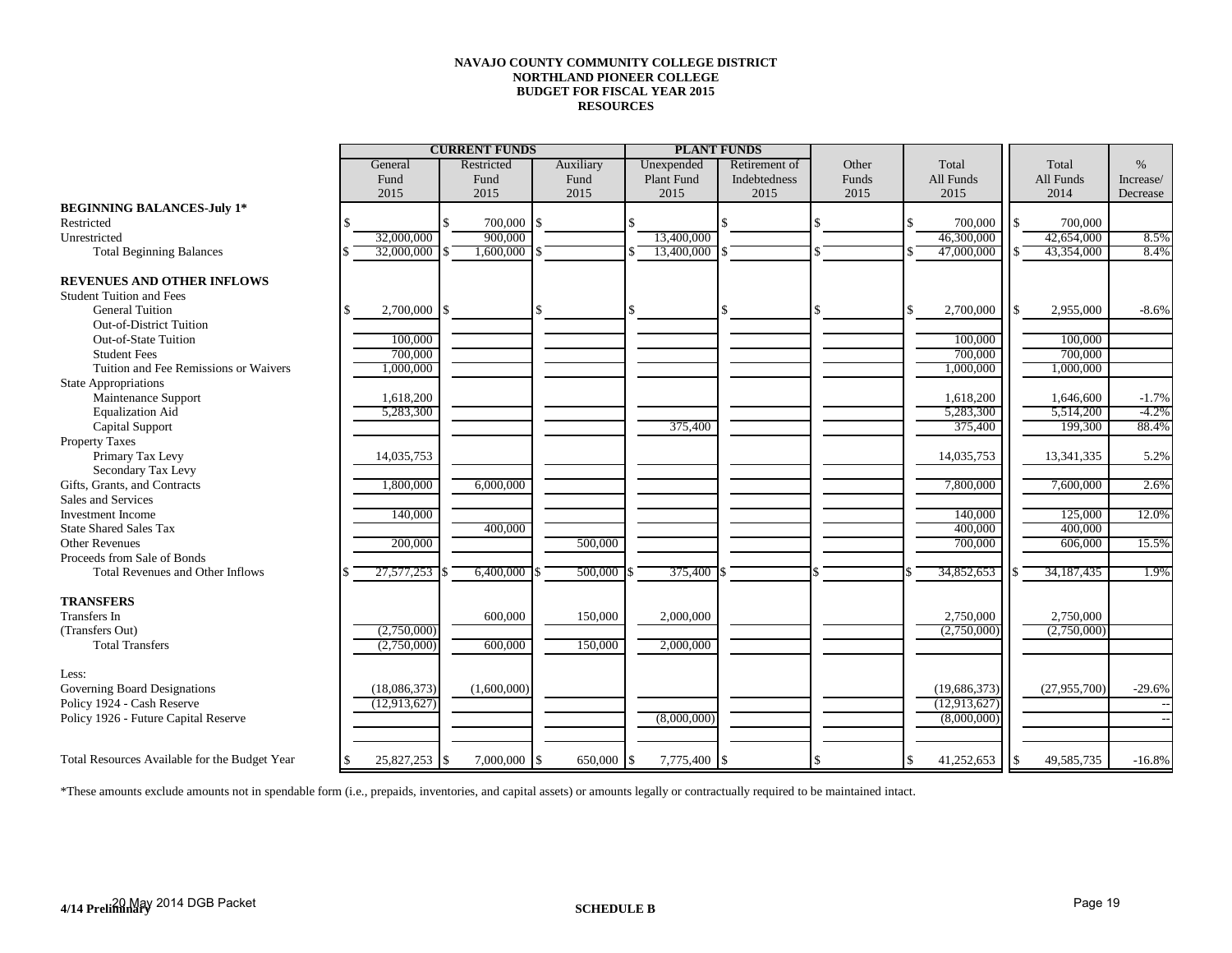## **NAVAJO COUNTY COMMUNITY COLLEGE DISTRICT NORTHLAND PIONEER COLLEGE BUDGET FOR FISCAL YEAR 2015 RESOURCES**

|                                               | <b>CURRENT FUNDS</b>  |  |                    |  |            | <b>PLANT FUNDS</b> |              |       |                |       |              | $\%$      |
|-----------------------------------------------|-----------------------|--|--------------------|--|------------|--------------------|--------------|-------|----------------|-------|--------------|-----------|
|                                               | Restricted<br>General |  | Auxiliary          |  | Unexpended | Retirement of      | Other        | Total |                | Total |              |           |
|                                               | Fund                  |  | Fund               |  | Fund       | Plant Fund         | Indebtedness | Funds | All Funds      |       | All Funds    | Increase/ |
|                                               | 2015                  |  | 2015               |  | 2015       | 2015               | 2015         | 2015  | 2015           |       | 2014         | Decrease  |
| <b>BEGINNING BALANCES-July 1*</b>             |                       |  |                    |  |            |                    |              |       |                |       |              |           |
| Restricted                                    |                       |  | 700,000            |  |            |                    |              |       | 700,000        |       | 700,000      |           |
| Unrestricted                                  | 32,000,000            |  | 900,000            |  |            | 13,400,000         |              |       | 46,300,000     |       | 42,654,000   | 8.5%      |
| <b>Total Beginning Balances</b>               | 32,000,000            |  | 1,600,000          |  |            | 13,400,000         |              |       | 47,000,000     |       | 43,354,000   | 8.4%      |
|                                               |                       |  |                    |  |            |                    |              |       |                |       |              |           |
| <b>REVENUES AND OTHER INFLOWS</b>             |                       |  |                    |  |            |                    |              |       |                |       |              |           |
| <b>Student Tuition and Fees</b>               |                       |  |                    |  |            |                    |              |       |                |       |              |           |
| <b>General Tuition</b>                        | $2,700,000$ \$        |  |                    |  |            |                    |              |       | 2,700,000      |       | 2,955,000    | $-8.6%$   |
| <b>Out-of-District Tuition</b>                |                       |  |                    |  |            |                    |              |       |                |       |              |           |
| Out-of-State Tuition                          | 100,000               |  |                    |  |            |                    |              |       | 100,000        |       | 100,000      |           |
| <b>Student Fees</b>                           | 700,000               |  |                    |  |            |                    |              |       | 700,000        |       | 700,000      |           |
| Tuition and Fee Remissions or Waivers         | 1,000,000             |  |                    |  |            |                    |              |       | 1,000,000      |       | 1,000,000    |           |
| <b>State Appropriations</b>                   |                       |  |                    |  |            |                    |              |       |                |       |              |           |
| Maintenance Support                           | 1,618,200             |  |                    |  |            |                    |              |       | 1,618,200      |       | 1,646,600    | $-1.7%$   |
| <b>Equalization Aid</b>                       | 5,283,300             |  |                    |  |            |                    |              |       | 5,283,300      |       | 5,514,200    | $-4.2%$   |
| Capital Support                               |                       |  |                    |  |            | 375,400            |              |       | 375,400        |       | 199,300      | 88.4%     |
| <b>Property Taxes</b>                         |                       |  |                    |  |            |                    |              |       |                |       |              |           |
| Primary Tax Levy                              | 14,035,753            |  |                    |  |            |                    |              |       | 14,035,753     |       | 13,341,335   | 5.2%      |
| Secondary Tax Levy                            |                       |  |                    |  |            |                    |              |       |                |       |              |           |
| Gifts, Grants, and Contracts                  | 1,800,000             |  | 6,000,000          |  |            |                    |              |       | 7,800,000      |       | 7,600,000    | 2.6%      |
| Sales and Services                            |                       |  |                    |  |            |                    |              |       |                |       |              |           |
| <b>Investment Income</b>                      | 140,000               |  |                    |  |            |                    |              |       | 140,000        |       | 125,000      | 12.0%     |
| <b>State Shared Sales Tax</b>                 |                       |  | 400,000            |  |            |                    |              |       | 400,000        |       | 400,000      |           |
| <b>Other Revenues</b>                         | 200,000               |  |                    |  | 500,000    |                    |              |       | 700,000        |       | 606,000      | 15.5%     |
| Proceeds from Sale of Bonds                   |                       |  |                    |  |            |                    |              |       |                |       |              |           |
| <b>Total Revenues and Other Inflows</b>       | 27,577,253            |  | 6,400,000          |  | 500,000    | 375,400            |              |       | 34,852,653     |       | 34, 187, 435 | 1.9%      |
|                                               |                       |  |                    |  |            |                    |              |       |                |       |              |           |
| <b>TRANSFERS</b>                              |                       |  |                    |  |            |                    |              |       |                |       |              |           |
| Transfers In                                  |                       |  | 600,000            |  | 150,000    | 2,000,000          |              |       | 2,750,000      |       | 2,750,000    |           |
| (Transfers Out)                               | (2,750,000)           |  |                    |  |            |                    |              |       | (2,750,000)    |       | (2,750,000)  |           |
| <b>Total Transfers</b>                        | (2,750,000)           |  | 600,000            |  | 150,000    | 2,000,000          |              |       |                |       |              |           |
|                                               |                       |  |                    |  |            |                    |              |       |                |       |              |           |
| Less:                                         |                       |  |                    |  |            |                    |              |       |                |       |              |           |
| Governing Board Designations                  | (18,086,373)          |  | (1,600,000)        |  |            |                    |              |       | (19,686,373)   |       | (27,955,700) | $-29.6%$  |
| Policy 1924 - Cash Reserve                    | (12, 913, 627)        |  |                    |  |            |                    |              |       | (12, 913, 627) |       |              |           |
| Policy 1926 - Future Capital Reserve          |                       |  |                    |  |            | (8,000,000)        |              |       | (8,000,000)    |       |              |           |
|                                               |                       |  |                    |  |            |                    |              |       |                |       |              |           |
|                                               |                       |  |                    |  |            |                    |              |       |                |       |              |           |
| Total Resources Available for the Budget Year | 25,827,253 \$         |  | $7,000,000$ \ \ \$ |  | 650,000    | 7,775,400          | \$           |       | 41,252,653     | 1\$   | 49,585,735   | $-16.8%$  |

\*These amounts exclude amounts not in spendable form (i.e., prepaids, inventories, and capital assets) or amounts legally or contractually required to be maintained intact.